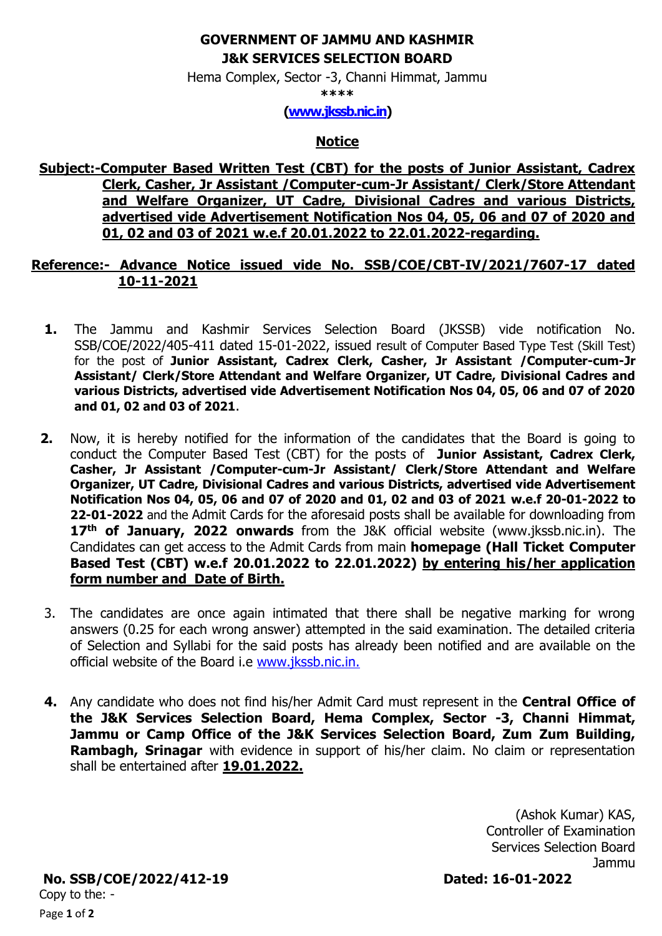## **GOVERNMENT OF JAMMU AND KASHMIR J&K SERVICES SELECTION BOARD**

Hema Complex, Sector -3, Channi Himmat, Jammu

**\*\*\*\***

## **[\(www.jkssb.nic.in\)](http://www.jkssb.nic.in/)**

## **Notice**

**Subject:-Computer Based Written Test (CBT) for the posts of Junior Assistant, Cadrex Clerk, Casher, Jr Assistant /Computer-cum-Jr Assistant/ Clerk/Store Attendant and Welfare Organizer, UT Cadre, Divisional Cadres and various Districts, advertised vide Advertisement Notification Nos 04, 05, 06 and 07 of 2020 and 01, 02 and 03 of 2021 w.e.f 20.01.2022 to 22.01.2022-regarding.**

## **Reference:- Advance Notice issued vide No. SSB/COE/CBT-IV/2021/7607-17 dated 10-11-2021**

- **1.** The Jammu and Kashmir Services Selection Board (JKSSB) vide notification No. SSB/COE/2022/405-411 dated 15-01-2022, issued result of Computer Based Type Test (Skill Test) for the post of **Junior Assistant, Cadrex Clerk, Casher, Jr Assistant /Computer-cum-Jr Assistant/ Clerk/Store Attendant and Welfare Organizer, UT Cadre, Divisional Cadres and various Districts, advertised vide Advertisement Notification Nos 04, 05, 06 and 07 of 2020 and 01, 02 and 03 of 2021**.
- **2.** Now, it is hereby notified for the information of the candidates that the Board is going to conduct the Computer Based Test (CBT) for the posts of **Junior Assistant, Cadrex Clerk, Casher, Jr Assistant /Computer-cum-Jr Assistant/ Clerk/Store Attendant and Welfare Organizer, UT Cadre, Divisional Cadres and various Districts, advertised vide Advertisement Notification Nos 04, 05, 06 and 07 of 2020 and 01, 02 and 03 of 2021 w.e.f 20-01-2022 to 22-01-2022** and the Admit Cards for the aforesaid posts shall be available for downloading from 17<sup>th</sup> of January, 2022 onwards from the J&K official website (www.jkssb.nic.in). The Candidates can get access to the Admit Cards from main **homepage (Hall Ticket Computer Based Test (CBT) w.e.f 20.01.2022 to 22.01.2022) by entering his/her application form number and Date of Birth.**
- 3. The candidates are once again intimated that there shall be negative marking for wrong answers (0.25 for each wrong answer) attempted in the said examination. The detailed criteria of Selection and Syllabi for the said posts has already been notified and are available on the official website of the Board i.e [www.jkssb.nic.in.](http://www.jkssb.nic.in/)
- **4.** Any candidate who does not find his/her Admit Card must represent in the **Central Office of the J&K Services Selection Board, Hema Complex, Sector -3, Channi Himmat, Jammu or Camp Office of the J&K Services Selection Board, Zum Zum Building, Rambagh, Srinagar** with evidence in support of his/her claim. No claim or representation shall be entertained after **19.01.2022.**

 (Ashok Kumar) KAS, Controller of Examination Services Selection Board Jammu

Page **1** of **2 No. SSB/COE/2022/412-19 Dated: 16-01-2022** Copy to the: -